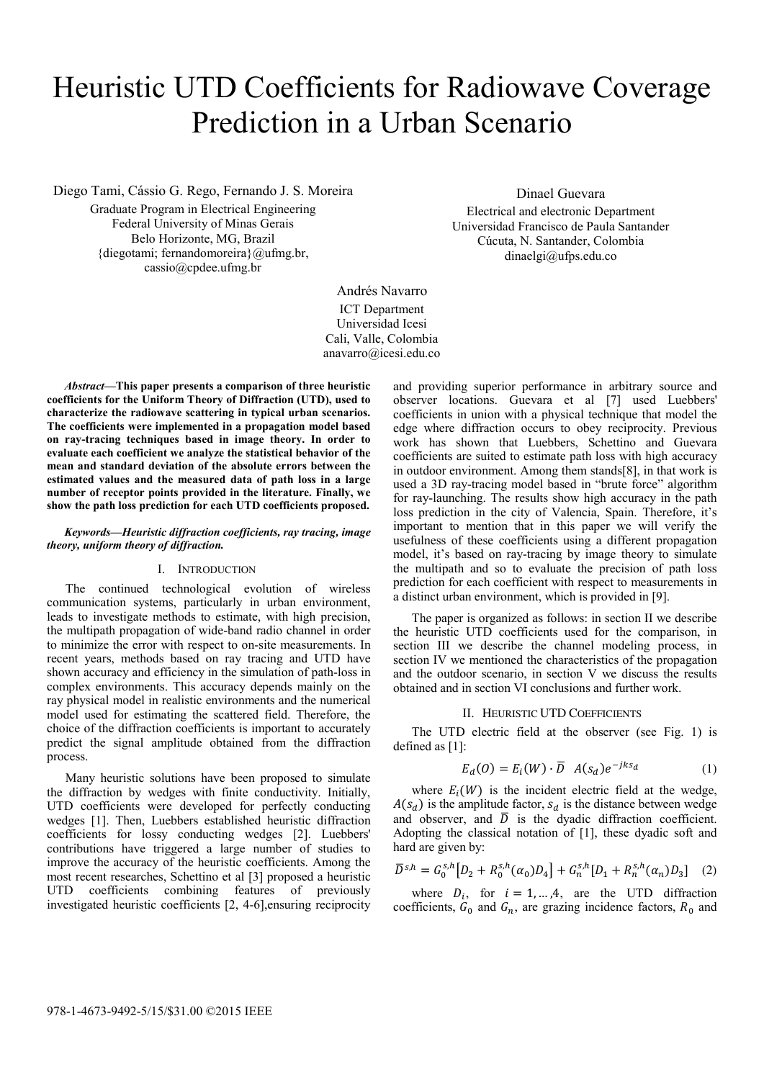# Heuristic UTD Coefficients for Radiowave Coverage Prediction in a Urban Scenario

Diego Tami, Cássio G. Rego, Fernando J. S. Moreira

Graduate Program in Electrical Engineering Federal University of Minas Gerais Belo Horizonte, MG, Brazil {diegotami; fernandomoreira}@ufmg.br, cassio@cpdee.ufmg.br

Dinael Guevara

Electrical and electronic Department Universidad Francisco de Paula Santander Cúcuta, N. Santander, Colombia dinaelgi@ufps.edu.co

Andrés Navarro ICT Department Universidad Icesi Cali, Valle, Colombia anavarro@icesi.edu.co

*Abstract***—This paper presents a comparison of three heuristic coefficients for the Uniform Theory of Diffraction (UTD), used to characterize the radiowave scattering in typical urban scenarios. The coefficients were implemented in a propagation model based on ray-tracing techniques based in image theory. In order to evaluate each coefficient we analyze the statistical behavior of the mean and standard deviation of the absolute errors between the estimated values and the measured data of path loss in a large number of receptor points provided in the literature. Finally, we show the path loss prediction for each UTD coefficients proposed.** 

## *Keywords—Heuristic diffraction coefficients, ray tracing, image theory, uniform theory of diffraction.*

# I. INTRODUCTION

The continued technological evolution of wireless communication systems, particularly in urban environment, leads to investigate methods to estimate, with high precision, the multipath propagation of wide-band radio channel in order to minimize the error with respect to on-site measurements. In recent years, methods based on ray tracing and UTD have shown accuracy and efficiency in the simulation of path-loss in complex environments. This accuracy depends mainly on the ray physical model in realistic environments and the numerical model used for estimating the scattered field. Therefore, the choice of the diffraction coefficients is important to accurately predict the signal amplitude obtained from the diffraction process.

Many heuristic solutions have been proposed to simulate the diffraction by wedges with finite conductivity. Initially, UTD coefficients were developed for perfectly conducting wedges [1]. Then, Luebbers established heuristic diffraction coefficients for lossy conducting wedges [2]. Luebbers' contributions have triggered a large number of studies to improve the accuracy of the heuristic coefficients. Among the most recent researches, Schettino et al [3] proposed a heuristic UTD coefficients combining features of previously investigated heuristic coefficients [2, 4-6],ensuring reciprocity and providing superior performance in arbitrary source and observer locations. Guevara et al [7] used Luebbers' coefficients in union with a physical technique that model the edge where diffraction occurs to obey reciprocity. Previous work has shown that Luebbers, Schettino and Guevara coefficients are suited to estimate path loss with high accuracy in outdoor environment. Among them stands[8], in that work is used a 3D ray-tracing model based in "brute force" algorithm for ray-launching. The results show high accuracy in the path loss prediction in the city of Valencia, Spain. Therefore, it's important to mention that in this paper we will verify the usefulness of these coefficients using a different propagation model, it's based on ray-tracing by image theory to simulate the multipath and so to evaluate the precision of path loss prediction for each coefficient with respect to measurements in a distinct urban environment, which is provided in [9].

The paper is organized as follows: in section II we describe the heuristic UTD coefficients used for the comparison, in section III we describe the channel modeling process, in section IV we mentioned the characteristics of the propagation and the outdoor scenario, in section V we discuss the results obtained and in section VI conclusions and further work.

# II. HEURISTIC UTD COEFFICIENTS

The UTD electric field at the observer (see Fig. 1) is defined as [1]:

$$
E_d(O) = E_i(W) \cdot \overline{D} A(s_d) e^{-jks_d} \tag{1}
$$

where  $E_i(W)$  is the incident electric field at the wedge,  $A(s_d)$  is the amplitude factor,  $s_d$  is the distance between wedge and observer, and  $\overline{D}$  is the dyadic diffraction coefficient. Adopting the classical notation of [1], these dyadic soft and hard are given by:

$$
\overline{D}^{s,h} = G_0^{s,h} [D_2 + R_0^{s,h}(\alpha_0)D_4] + G_n^{s,h} [D_1 + R_n^{s,h}(\alpha_n)D_3]
$$
 (2)

where  $D_i$ , for  $i = 1, ..., 4$ , are the UTD diffraction coefficients,  $G_0$  and  $G_n$ , are grazing incidence factors,  $R_0$  and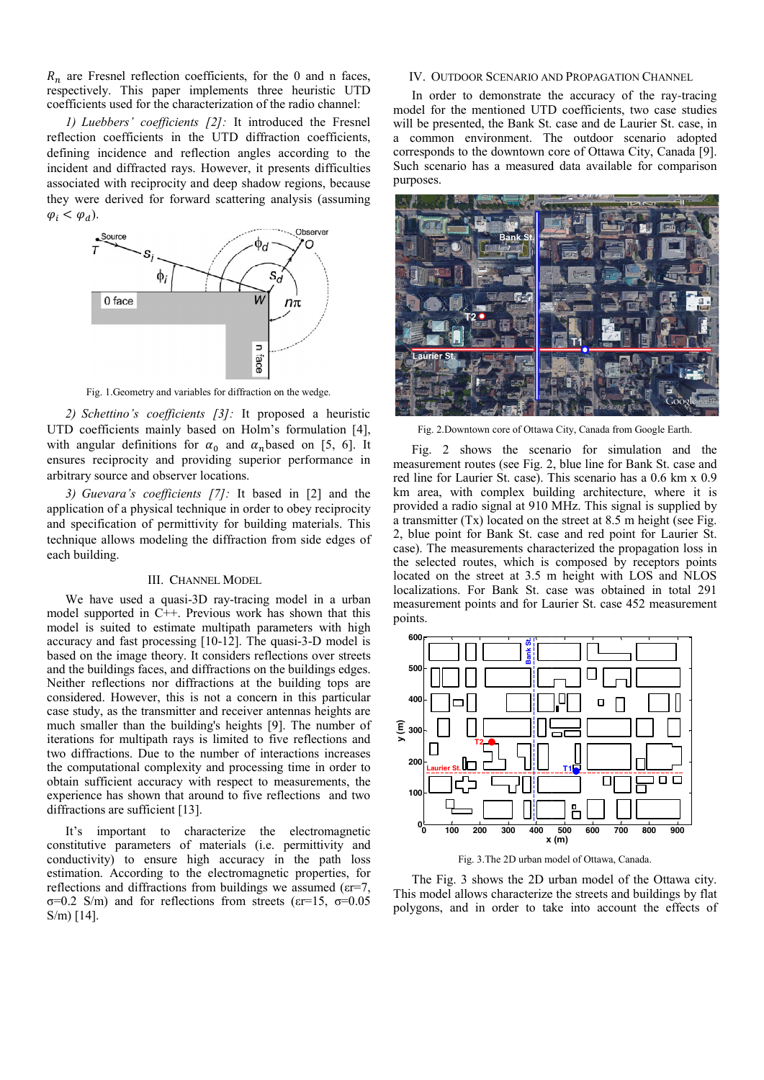$R_n$  are Fresnel reflection coefficients, for the 0 and n faces, respectively. This paper implements three heuristic UTD coefficients used for the characterization of th he radio channel:

*1) Luebbers' coefficients* [2]: It introduced the Fresnel reflection coefficients in the UTD diffraction coefficients, defining incidence and reflection angles according to the incident and diffracted rays. However, it presents difficulties associated with reciprocity and deep shadow regions, because they were derived for forward scattering a analysis (assuming  $\varphi_i < \varphi_d$ ).



Fig. 1. Geometry and variables for diffraction on the wedge.

*2) Schettino's coefficients [3]:* It prop posed a heuristic UTD coefficients mainly based on Holm's formulation [4], with angular definitions for  $\alpha_0$  and  $\alpha_n$ based on [5, 6]. It ensures reciprocity and providing superior performance in arbitrary source and observer locations.

3) *Guevara's coefficients* [7]: It based in [2] and the application of a physical technique in order to obey reciprocity and specification of permittivity for building materials. This technique allows modeling the diffraction from side edges of each building.

## III. CHANNEL MODEL

We have used a quasi-3D ray-tracing model in a urban model supported in C++. Previous work has shown that this model is suited to estimate multipath parameters with high accuracy and fast processing [10-12]. The q quasi-3-D model is based on the image theory. It considers reflections over streets and the buildings faces, and diffractions on the buildings edges. Neither reflections nor diffractions at the building tops are considered. However, this is not a concern in this particular case study, as the transmitter and receiver antennas heights are much smaller than the building's heights [9 9]. The number of iterations for multipath rays is limited to five reflections and two diffractions. Due to the number of interactions increases the computational complexity and processing time in order to obtain sufficient accuracy with respect to measurements, the experience has shown that around to five reflections and two diffractions are sufficient [13].

It's important to characterize the electromagnetic constitutive parameters of materials (i.e. permittivity and conductivity) to ensure high accuracy in the path loss estimation. According to the electromagnetic properties, for reflections and diffractions from buildings we assumed  $(\epsilon r = 7)$ ,  $\sigma$ =0.2 S/m) and for reflections from streets ( $\epsilon$ r=15,  $\sigma$ =0.05 S/m) [14].

## IV. OUTDOOR SCENARIO AND PROPAGATION CHANNEL

In order to demonstrate th he accuracy of the ray-tracing model for the mentioned UTD D coefficients, two case studies will be presented, the Bank St. case and de Laurier St. case, in a common environment. The outdoor scenario adopted corresponds to the downtown core of Ottawa City, Canada [9]. Such scenario has a measured data available for comparison purposes.



Fig. 2. Downtown core of Ottawa City, Canada from Google Earth.

Fig. 2 shows the scen ario for simulation and the measurement routes (see Fig. 2 2, blue line for Bank St. case and red line for Laurier St. case). This scenario has a 0.6 km x 0.9 km area, with complex building architecture, where it is provided a radio signal at 910 M MHz. This signal is supplied by a transmitter  $(Tx)$  located on the street at 8.5 m height (see Fig. 2, blue point for Bank St. cas se and red point for Laurier St. case). The measurements characterized the propagation loss in the selected routes, which is composed by receptors points located on the street at 3.5 m height with LOS and NLOS localizations. For Bank St. c ase was obtained in total 291 measurement points and for Laurier St. case 452 measurement points.



Fig. 3.The 2D urban m model of Ottawa, Canada.

The Fig. 3 shows the 2D urban model of the Ottawa city. This model allows characterize the streets and buildings by flat polygons, and in order to tak ke into account the effects of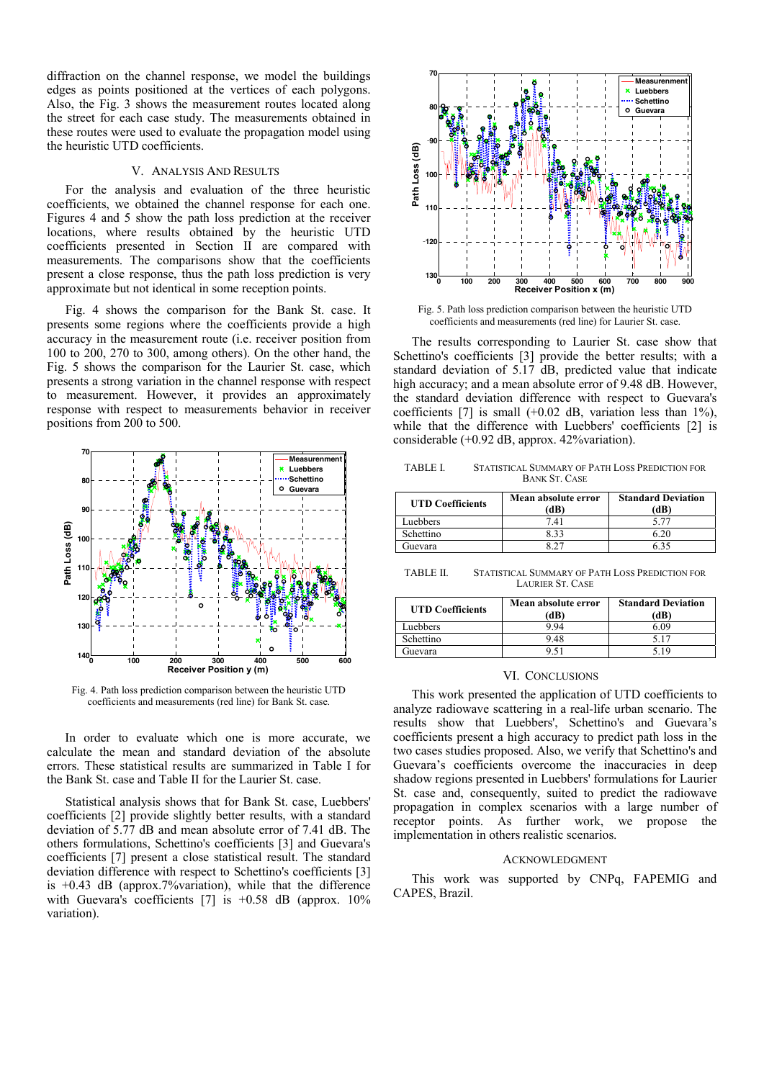diffraction on the channel response, we model the buildings edges as points positioned at the vertices of each polygons. Also, the Fig. 3 shows the measurement routes located along the street for each case study. The measurements obtained in these routes were used to evaluate the propagation model using the heuristic UTD coefficients.

# V. ANALYSIS AND RESULTS

For the analysis and evaluation of the three heuristic coefficients, we obtained the channel response for each one. Figures 4 and 5 show the path loss prediction at the receiver locations, where results obtained by the heuristic UTD coefficients presented in Section II are compared with measurements. The comparisons show that the coefficients present a close response, thus the path loss prediction is very approximate but not identical in some reception points.

Fig. 4 shows the comparison for the Bank St. case. It presents some regions where the coefficients provide a high accuracy in the measurement route (i.e. receiver position from 100 to 200, 270 to 300, among others). On the other hand, the Fig. 5 shows the comparison for the Laurier St. case, which presents a strong variation in the channel response with respect to measurement. However, it provides an approximately response with respect to measurements behavior in receiver positions from 200 to 500.



Fig. 4. Path loss prediction comparison between the heuristic UTD coefficients and measurements (red line) for Bank St. case.

In order to evaluate which one is more accurate, we calculate the mean and standard deviation of the absolute errors. These statistical results are summarized in Table I for the Bank St. case and Table II for the Laurier St. case.

Statistical analysis shows that for Bank St. case, Luebbers' coefficients [2] provide slightly better results, with a standard deviation of 5.77 dB and mean absolute error of 7.41 dB. The others formulations, Schettino's coefficients [3] and Guevara's coefficients [7] present a close statistical result. The standard deviation difference with respect to Schettino's coefficients [3] is +0.43 dB (approx.7%variation), while that the difference with Guevara's coefficients [7] is  $+0.58$  dB (approx. 10%) variation).



Fig. 5. Path loss prediction comparison between the heuristic UTD coefficients and measurements (red line) for Laurier St. case.

The results corresponding to Laurier St. case show that Schettino's coefficients [3] provide the better results; with a standard deviation of 5.17 dB, predicted value that indicate high accuracy; and a mean absolute error of 9.48 dB. However, the standard deviation difference with respect to Guevara's coefficients [7] is small  $(+0.02$  dB, variation less than  $1\%$ ), while that the difference with Luebbers' coefficients [2] is considerable (+0.92 dB, approx. 42%variation).

TABLE I. STATISTICAL SUMMARY OF PATH LOSS PREDICTION FOR BANK ST. CASE

| <b>UTD Coefficients</b> | Mean absolute error<br>(dB) | <b>Standard Deviation</b><br>(dB) |
|-------------------------|-----------------------------|-----------------------------------|
| Luebbers                | 741                         | 5.77                              |
| Schettino               | 8.33                        | 6 20                              |
| Guevara                 | 8 77                        | 635                               |

TABLE II. STATISTICAL SUMMARY OF PATH LOSS PREDICTION FOR LAURIER ST. CASE

| <b>UTD Coefficients</b> | Mean absolute error<br>(dB) | <b>Standard Deviation</b><br>(dB) |
|-------------------------|-----------------------------|-----------------------------------|
| Luebbers                | 9 94                        | 6.09                              |
| Schettino               | 948                         | 5 1 7                             |
| Guevara                 |                             | 5 19                              |

#### VI. CONCLUSIONS

This work presented the application of UTD coefficients to analyze radiowave scattering in a real-life urban scenario. The results show that Luebbers', Schettino's and Guevara's coefficients present a high accuracy to predict path loss in the two cases studies proposed. Also, we verify that Schettino's and Guevara's coefficients overcome the inaccuracies in deep shadow regions presented in Luebbers' formulations for Laurier St. case and, consequently, suited to predict the radiowave propagation in complex scenarios with a large number of receptor points. As further work, we propose the implementation in others realistic scenarios.

#### ACKNOWLEDGMENT

This work was supported by CNPq, FAPEMIG and CAPES, Brazil.